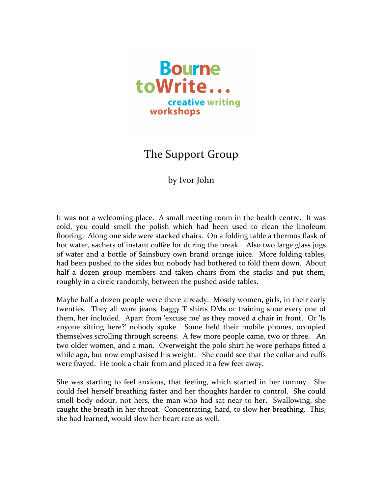

## The Support Group

## by Ivor John

It was not a welcoming place. A small meeting room in the health centre. It was cold, you could smell the polish which had been used to clean the linoleum flooring. Along one side were stacked chairs. On a folding table a thermos flask of hot water, sachets of instant coffee for during the break. Also two large glass jugs of water and a bottle of Sainsbury own brand orange juice. More folding tables, had been pushed to the sides but nobody had bothered to fold them down. About half a dozen group members and taken chairs from the stacks and put them, roughly in a circle randomly, between the pushed aside tables.

Maybe half a dozen people were there already. Mostly women, girls, in their early twenties. They all wore jeans, baggy T shirts DMs or training shoe every one of them, her included. Apart from 'excuse me' as they moved a chair in front. Or 'Is anyone sitting here?' nobody spoke. Some held their mobile phones, occupied themselves scrolling through screens. A few more people came, two or three. An two older women, and a man. Overweight the polo shirt he wore perhaps fitted a while ago, but now emphasised his weight. She could see that the collar and cuffs were frayed. He took a chair from and placed it a few feet away.

She was starting to feel anxious, that feeling, which started in her tummy. She could feel herself breathing faster and her thoughts harder to control. She could smell body odour, not hers, the man who had sat near to her. Swallowing, she caught the breath in her throat. Concentrating, hard, to slow her breathing. This, she had learned, would slow her heart rate as well.